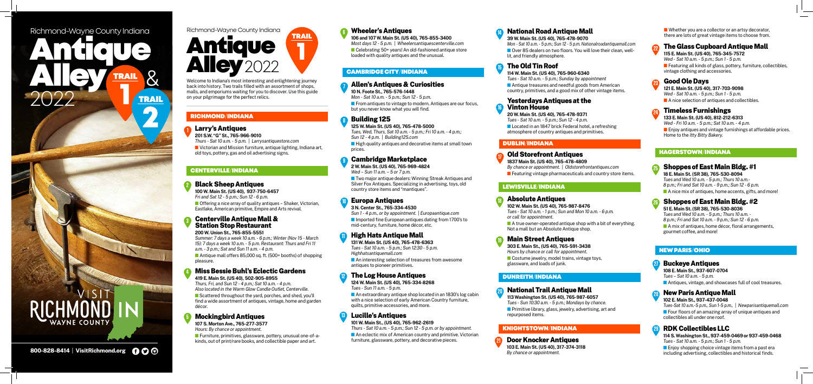#### **1** Larry's Antiques

**201 S.W. "G" St., 765-966-9010** 

*Thurs - Sat 10 a.m. - 5 p.m.* | *Larrysantiquestore.com*

 $\blacksquare$  Victorian and Mission furniture, antique lighting, Indiana art, old toys, pottery, gas and oil advertising signs.

 $\blacksquare$  Offering a nice array of quality antiques – Shaker, Victorian, Eastlake, American primitive, Empire and Arts revival.

**100 W. Main St. (US 40), 937-750-6457** *Fri and Sat 12 - 5 p.m.; Sun 12 - 6 p.m.*

■ Antique mall offers 85,000 sq. ft. (500+ booths) of shopping pleasure.

■ Scattered throughout the vard, porches, and shed, you'll find a wide assortment of antiques, vintage, home and garden décor.

**200 W. Union St., 765-855-5551**  *Summer: 7 days a week 10 a.m. - 6 p.m.; Winter (Nov 15 - March 15): 7 days a week 10 a.m. - 5 p.m. Restaurant: Thurs and Fri 11 a.m. - 3 p.m.; Sat and Sun 11 a.m. - 4 p.m.*

**Furniture, primitives, glassware, pottery, unusual one-of-a**kinds, out of print/rare books, and collectible paper and art.

**n** From antiques to vintage to modern. Antiques are our focus, but you never know what you will find.

*Thurs, Fri, and Sun 12 - 4 p.m.; Sat 10 a.m. - 4 p.m. Also located in the Warm Glow Candle Outlet, Centerville.*  $\blacksquare$  High quality antiques and decorative items at small town prices.

■ Two major antique dealers: Winning Streak Antiques and Silver Fox Antiques. Specializing in advertising, toys, old country store items and "mantiques".

**107 S. Morton Ave., 765-277-3577** *Hours: By chance or appointment.* 

n Imported fine European antiques dating from 1700's to mid-century, furniture, home décor, etc.

 $\blacksquare$  An interesting selection of treasures from awesome antiques to pioneer primitives.

# Wheeler's Antiques

**106 and 107 W. Main St. (US 40), 765-855-3400** *Most days 12 - 5 p.m.* | *Wheelersantiquescenterville.com* ■ Celebrating 50+ years! An old-fashioned antique store loaded with quality antiques and the unusual.

■ An extraordinary antique shop located in an 1830's log cabin with a nice selection of early American Country furniture, quilts, primitive accessories, and more.

 $\blacksquare$  An eclectic mix of American country and primitive. Victorian furniture, glassware, pottery, and decorative pieces.

VAYNE COUNTY

**10 N. Foote St., 765-576-1448**

*Mon - Sat 10 a.m. - 5 p.m.; Sun 12 - 5 p.m.*

**125 W. Main St. (US 40), 765-478-5000** *Tues, Wed, Thurs, Sat 10 a.m. - 5 p.m.; Fri 10 a.m. - 4 p.m.;* 

*Sun 12 - 4 p.m.* | *Building125.com*

# Cambridge Marketplace

**2 W. Main St. (US 40), 765-969-4824** *Wed – Sun 11 a.m. – 5 or 7 p.m.*

#### Black Sheep Antiques **2**

**1837 Main St. (US 40), 765-478-4809** *By chance or appointment.* | *Oldstorefrontantiques.com*  $\blacksquare$  Featuring vintage pharmaceuticals and country store items.

#### Centerville Antique Mall & Station Stop Restaurant **3**

**3 N. Center St., 765-334-4530**

*Sun 1 - 4 p.m., or by appointment.* | *Europaantique.com*

 $\blacksquare$  A true owner-operated antique shop with a bit of everything. Not a mall but an Absolute Antique shop.

#### Miss Bessie Buhl's Eclectic Gardens **419 E. Main St. (US 40), 502-905-8955 4**

 $\blacksquare$  Costume jewelry, model trains, vintage toys, glassware, and loads of junk.

**131 W. Main St. (US 40), 765-478-6363** *Tues - Sat 10 a.m. - 5 p.m.; Sun 12:30 - 5 p.m. Highhatsantiquemall.com*

#### Mockingbird Antiques **5**

 $\blacksquare$  Featuring all kinds of glass, pottery, furniture, collectibles, vintage clothing and accessories.

**124 W. Main St. (US 40), 765-334-8268** *Tues - Sun 11 a.m. - 5 p.m.*

#### Allen's Antiques & Curiosities **7**

#### Building 125 **8**

 $\blacksquare$  Enjoy antiques and vintage furnishings at affordable prices. Home to the *Itty Bitty Bakery.*

**101 W. Main St., (US 40), 765-962-2619**

*Thurs - Sat 10 a.m. - 5 p.m.; Sun 12 - 5 p.m. or by appointment.*

# Europa Antiques **10**

 $\blacksquare$  Enjoy shopping choice vintage items from a past era including advertising, collectibles and historical finds.

# National Road Antique Mall

**39 W. Main St. (US 40), 765-478-9070**

*Mon - Sat 10 a.m. - 5 p.m.; Sun 12 - 5 p.m. Nationalroadantiquemall.com* ■ Over 85 dealers on two floors. You will love their clean, welllit, and friendly atmosphere.

# The Old Tin Roof

**114 W. Main St. (US 40), 765-960-6340**

*Tues - Sat 10 a.m. - 5 p.m.; Sunday by appointment*  $\blacksquare$  Antique treasures and needful goods from American country, primitives, and a good mix of other vintage items.  $\blacksquare$  Whether you are a collector or an artsy decorator, there are lots of great vintage items to choose from.



#### Yesterdays Antiques at the Vinton House

**20 W. Main St. (US 40), 765-478-9371**

*Tues - Sat 10 a.m. - 5 p.m.; Sun 12 - 4 p.m.*  $\blacksquare$  Located in an 1847 brick Federal hotel, a refreshing atmosphere of country antiques and primitives.

### richmond/INdiana

#### centerville/indiana

#### cambridge city/indiana

**9**

**14**

**15**

**6**

# Antique **Alley<sup>2022</sup>** 1 TRAIL Richmond-Wayne County Indiana

#### High Hats Antique Mall **11**

Welcome to Indiana's most interesting and enlightening journey back into history. Two trails filled with an assortment of shops, malls, and emporiums waiting for you to discover. Use this guide on your pilgrimage for the perfect relics.

#### The Log House Antiques **12**

#### Lucille's Antiques **13**

#### Old Storefront Antiques **17**

# dublin/INdiana

**18**

**19**

# Absolute Antiques

**102 W. Main St. (US 40), 765-987-8476** *Tues - Sat 10 a.m. - 1 p.m.; Sun and Mon 10 a.m. - 6 p.m. or call for appointment.*

# Main Street Antiques

**303 E. Main St., (US 40), 765-591-3438** *Hours by chance or call for appointment.*

#### Lewisville/INdiana

#### National Trail Antique Mall **113 Washington St. (US 40), 765-987-6057**

*Tues - Sun 10:30 a.m. - 5 p.m.; Mondays by chance.* **n** Primitive library, glass, jewelry, advertising, art and repurposed items.

# dunreith/INdiana

# **20**

**115 E. Main St. (US 40), 765-345-7572** *Wed - Sat 10 a.m. - 5 p.m.; Sun 1 - 5 p.m.*

**121 E. Main St. (US 40), 317-703-9098**

*Wed - Sat 10 a.m. - 5 p.m.; Sun 1 - 5 p.m.*

 $\blacksquare$  A nice selection of antiques and collectibles.

# The Glass Cupboard Antique Mall **22**

#### Timeless Furnishings

#### Good Ole Days **23**

**133 E. Main St. (US 40), 812-212-6313** *Wed - Fri 10 a.m. - 5 p.m.; Sat 10 a.m. - 4 p.m.*

#### knightstown/INdiana

# **24**

**16**

#### Buckeye Antiques

**108 E. Main St., 937-607-0704** *Tues – Sat 10 a.m. - 5 p.m.*

**n** Antiques, vintage, and showcases full of cool treasures.



**102 E. Main St., 937-437-0048**

*Tues-Sat 10 a.m.-5 p.m., Sun 1-5 p.m.,* | *Newparisantiquemall.com* **n** Four floors of an amazing array of unique antiques and collectibles all under one roof.

# New Paris Antique Mall **28**

**114 S. Washington St., 937-459-0469 or 937-459-0468** *Tues - Sat 10 a.m. - 5 p.m.; Sun 1 - 5 p.m.*

# RDK Collectibles LLC **29**

#### new paris/ohio

**27**



**26**

#### Shoppes of East Main Bldg. #1

**18 E. Main St. (SR 38), 765-530-8094** *Tues and Wed 10 a.m. - 5 p.m.; Thurs 10 a.m.- 8 p.m.; Fri and Sat 10 a.m. - 9 p.m.; Sun 12 - 6 p.m.*

 $\blacksquare$  A nice mix of antiques, home accents, gifts, and more!

# Shoppes of East Main Bldg. #2

# **51 E. Main St. (SR 38), 765-530-8036**

*Tues and Wed 10 a.m. - 5 p.m.; Thurs 10 a.m. - 8 p.m.; Fri and Sat 10 a.m. - 9 p.m.; Sun 12 - 6 p.m.*  $\blacksquare$  A mix of antiques, home décor, floral arrangements, gourmet coffee, and more!

#### hagerstown/INdiana

Antique

 $8<sup>0</sup>$ 

**TRAIL** 

*TRAIL* 

Alley<br>2022

# Richmond-Wayne County Indiana

Door Knocker Antiques

**103 E. Main St. (US 40), 317-374-3118** *By chance or appointment.*